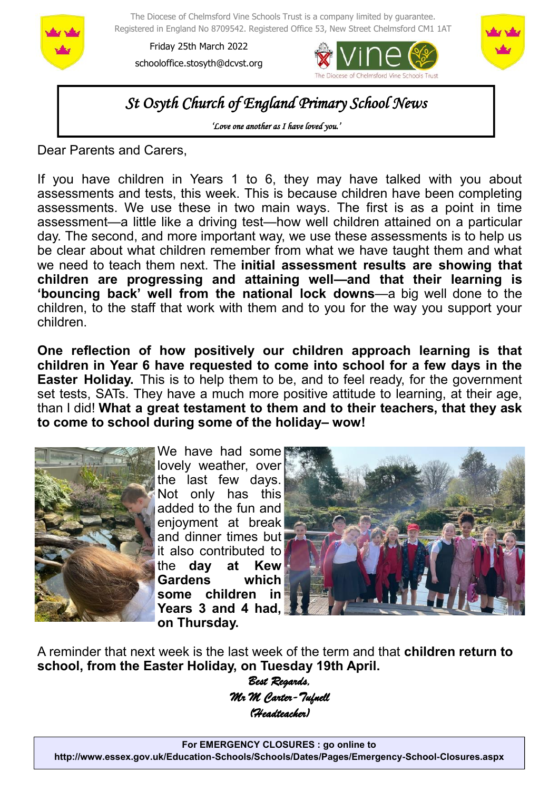

The Diocese of Chelmsford Vine Schools Trust is a company limited by guarantee. Registered in England No 8709542. Registered Office 53, New Street Chelmsford CM1 1AT

Friday 25th March 2022 schooloffice.stosyth@dcvst.org





*St Osyth Church of England Primary School News* 

*'Love one another as I have loved you.'* 

Dear Parents and Carers,

If you have children in Years 1 to 6, they may have talked with you about assessments and tests, this week. This is because children have been completing assessments. We use these in two main ways. The first is as a point in time assessment—a little like a driving test—how well children attained on a particular day. The second, and more important way, we use these assessments is to help us be clear about what children remember from what we have taught them and what we need to teach them next. The **initial assessment results are showing that children are progressing and attaining well—and that their learning is 'bouncing back' well from the national lock downs**—a big well done to the children, to the staff that work with them and to you for the way you support your children.

**One reflection of how positively our children approach learning is that children in Year 6 have requested to come into school for a few days in the Easter Holiday.** This is to help them to be, and to feel ready, for the government set tests, SATs. They have a much more positive attitude to learning, at their age, than I did! **What a great testament to them and to their teachers, that they ask to come to school during some of the holiday– wow!**



We have had some lovely weather, over the last few days. Not only has this added to the fun and enjoyment at break and dinner times but it also contributed to the **day at Kew Gardens which some children in Years 3 and 4 had, on Thursday.**



A reminder that next week is the last week of the term and that **children return to school, from the Easter Holiday, on Tuesday 19th April.**

> *Best Regards, Mr M Carter-Tufnell (Headteacher)*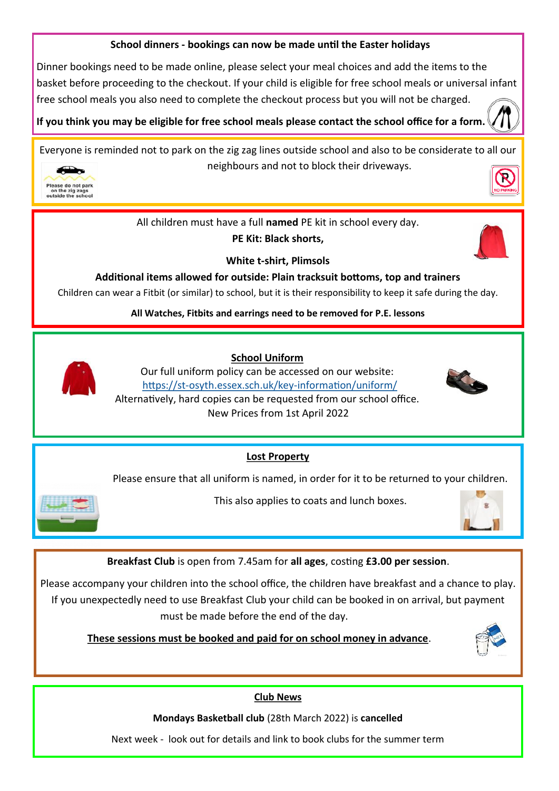## **School dinners - bookings can now be made until the Easter holidays**

Dinner bookings need to be made online, please select your meal choices and add the items to the basket before proceeding to the checkout. If your child is eligible for free school meals or universal infant free school meals you also need to complete the checkout process but you will not be charged.

**If you think you may be eligible for free school meals please contact the school office for a form.** 

Everyone is reminded not to park on the zig zag lines outside school and also to be considerate to all our neighbours and not to block their driveways.



All children must have a full **named** PE kit in school every day.

**PE Kit: Black shorts,** 



**White t-shirt, Plimsols**

**Additional items allowed for outside: Plain tracksuit bottoms, top and trainers**

Children can wear a Fitbit (or similar) to school, but it is their responsibility to keep it safe during the day.

**All Watches, Fitbits and earrings need to be removed for P.E. lessons**



 **School Uniform**

Our full uniform policy can be accessed on our website: https://st-[osyth.essex.sch.uk/key](https://st-osyth.essex.sch.uk/key-information/uniform/)-information/uniform/ Alternatively, hard copies can be requested from our school office. New Prices from 1st April 2022



**Lost Property**

Please ensure that all uniform is named, in order for it to be returned to your children.



This also applies to coats and lunch boxes.



**Breakfast Club** is open from 7.45am for **all ages**, costing **£3.00 per session**.

Please accompany your children into the school office, the children have breakfast and a chance to play. If you unexpectedly need to use Breakfast Club your child can be booked in on arrival, but payment must be made before the end of the day.

 **These sessions must be booked and paid for on school money in advance**.



## **Club News**

**Mondays Basketball club** (28th March 2022) is **cancelled**

Next week - look out for details and link to book clubs for the summer term